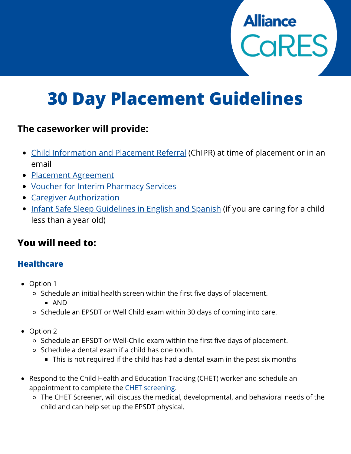# Alliance<br>CaRES

# **30 Day Placement Guidelines**

# **The caseworker will provide:**

- Child [Information](https://www.dcyf.wa.gov/forms?field_number_value=15-300&title=) and Placement Referral (ChIPR) at time of placement or in an email
- Placement [Agreement](https://www.dcyf.wa.gov/forms?field_number_value=15-281&title=)
- Voucher for Interim [Pharmacy](https://pharmacy.envolvehealth.com/content/dam/centene/envolve-pharmacy-solutions/pdfs/envolve-pharmacy-solutions/PrescriptionClaimForm.pdf) Services
- **Caregiver [Authorization](https://www.dcyf.wa.gov/forms?field_number_value=10-454&title=)**
- Infant Safe Sleep [Guidelines](https://www.dcyf.wa.gov/publications-library?combine_1=FS_0043&combine=safe+sleep&field_program_topic_value=All&field_languages_available_value=All) in English and Spanish (if you are caring for a child less than a year old)

# **You will need to:**

#### **Healthcare**

- Option 1
	- o Schedule an initial health screen within the first five days of placement.
		- AND
	- o Schedule an EPSDT or Well Child exam within 30 days of coming into care.
- Option 2
	- o Schedule an EPSDT or Well-Child exam within the first five days of placement.
	- Schedule a dental exam if a child has one tooth.
		- This is not required if the child has had a dental exam in the past six months
- Respond to the Child Health and Education Tracking (CHET) worker and schedule an appointment to complete the **CHET** screening.
	- The CHET Screener, will discuss the medical, developmental, and behavioral needs of the child and can help set up the EPSDT physical.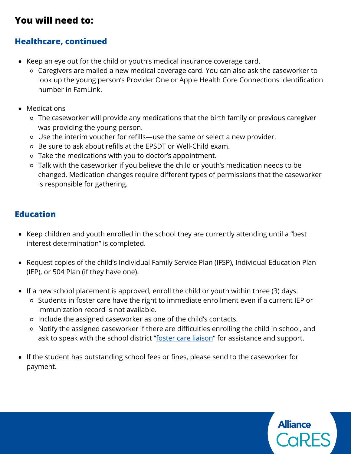# **You will need to:**

#### **Healthcare, continued**

- Keep an eye out for the child or youth's medical insurance coverage card.
	- Caregivers are mailed a new medical coverage card. You can also ask the caseworker to look up the young person's Provider One or Apple Health Core Connections identification number in FamLink.
- Medications
	- The caseworker will provide any medications that the birth family or previous caregiver was providing the young person.
	- Use the interim voucher for refills—use the same or select a new provider.
	- Be sure to ask about refills at the EPSDT or Well-Child exam.
	- Take the medications with you to doctor's appointment.
	- Talk with the caseworker if you believe the child or youth's medication needs to be changed. Medication changes require different types of permissions that the caseworker is responsible for gathering.

#### **Education**

- Keep children and youth enrolled in the school they are currently attending until a "best interest determination" is completed.
- Request copies of the child's Individual Family Service Plan (IFSP), Individual Education Plan (IEP), or 504 Plan (if they have one).
- If a new school placement is approved, enroll the child or youth within three (3) days.
	- o Students in foster care have the right to immediate enrollment even if a current IEP or immunization record is not available.
	- Include the assigned caseworker as one of the child's contacts.
	- Notify the assigned caseworker if there are difficulties enrolling the child in school, and ask to speak with the school district "[foster care liaison"](https://www.k12.wa.us/student-success/access-opportunity-education/foster-care/foster-care-liaisonsdcyf-contacts) for assistance and support.
- If the student has outstanding school fees or fines, please send to the caseworker for payment.

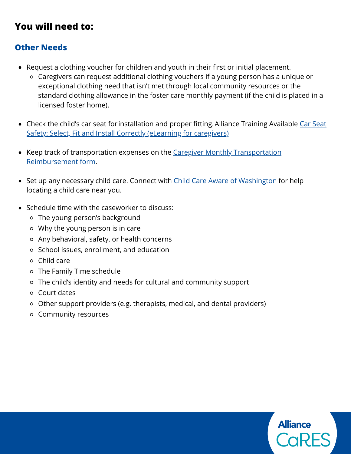# **You will need to:**

#### **Other Needs**

- Request a clothing voucher for children and youth in their first or initial placement.
	- Caregivers can request additional clothing vouchers if a young person has a unique or exceptional clothing need that isn't met through local community resources or the standard clothing allowance in the foster care monthly payment (if the child is placed in a licensed foster home).
- Check the child's car seat for [installation and proper fitting.Alliance Training Available Car Seat](https://allianceforchildwelfare.org/content/car-seat-safety-select-fit-and-install-correctly-elearning-caregivers) Safety: Select, Fit and Install Correctly (eLearning for caregivers)
- [Keep track of transportation expenses on the Caregiver Monthly Transportation](https://www.dcyf.wa.gov/forms?field_number_value=07-090&title=) Reimbursement form.
- Set up any necessary child care. Connect with [Child Care Aware of Washington](https://childcareawarewa.org/families/) for help locating a child care near you.
- Schedule time with the caseworker to discuss:
	- The young person's background
	- Why the young person is in care
	- Any behavioral, safety, or health concerns
	- o School issues, enrollment, and education
	- Child care
	- The Family Time schedule
	- The child's identity and needs for cultural and community support
	- o Court dates
	- Other support providers (e.g. therapists, medical, and dental providers)
	- Community resources

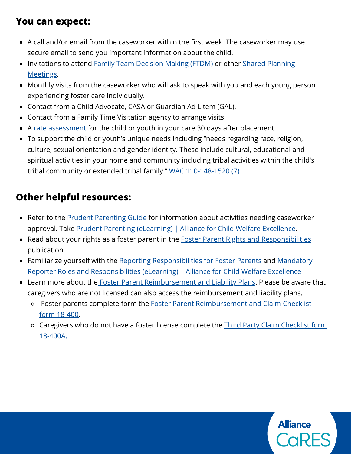### **You can expect:**

- A call and/or email from the caseworker within the first week. The caseworker may use secure email to send you important information about the child.
- [Invitations to attend F](https://www.dcyf.wa.gov/publications-library?combine_1=CWP_0070&combine=&field_program_topic_value=All&field_languages_available_value=All)[amily Team Decision Making \(FTDM](https://www.dcyf.wa.gov/publications-library?combine_1=22-1171&combine=&field_program_topic_value=All&field_languages_available_value=All)[\) or other Shared Planning](https://www.dcyf.wa.gov/publications-library?combine_1=CWP_0070&combine=&field_program_topic_value=All&field_languages_available_value=All) Meetings.
- Monthly visits from the caseworker who will ask to speak with you and each young person experiencing foster care individually.
- Contact from a Child Advocate, CASA or Guardian Ad Litem (GAL).
- Contact from a Family Time Visitation agency to arrange visits.
- A [rate assessment](https://www.dcyf.wa.gov/publications-library?combine_1=CWP_0038&combine=&field_program_topic_value=All&field_languages_available_value=All) for the child or youth in your care 30 days after placement.
- To support the child or youth's unique needs including "needs regarding race, religion, culture, sexual orientation and gender identity. These include cultural, educational and spiritual activities in your home and community including tribal activities within the child's tribal community or extended tribal family." [WAC 110-148-1520 \(7\)](https://app.leg.wa.gov/wac/default.aspx?cite=110-148-1520)

# **Other helpful resources:**

- Refer to the **Prudent Parenting Guide** for information about activities needing caseworker approval. Take [Prudent Parenting \(eLearning\) | Alliance for Child Welfare Excellence.](https://allianceforchildwelfare.org/content/prudent-parenting-elearning-0)
- Read about your rights as a foster parent in the **[Foster Parent Rights and Responsibilities](https://www.dcyf.wa.gov/publications-library?combine_1=LIC_0001&combine=&field_program_topic_value=All&field_languages_available_value=All)** publication.
- [Familiarize yourself with the](https://allianceforchildwelfare.org/content/mandatory-reporter-roles-and-responsibilities-elearning) [Reporting Responsibilities for Foster Parent](https://www.dcyf.wa.gov/publications-library?combine_1=LIC_0003&combine=&field_program_topic_value=All&field_languages_available_value=All)[s and Mandatory](https://allianceforchildwelfare.org/content/mandatory-reporter-roles-and-responsibilities-elearning) Reporter Roles and Responsibilities (eLearning) | Alliance for Child Welfare Excellence
- Learn more about the [Foster Parent Reimbursement and Liability Plans.](https://www.dcyf.wa.gov/publications-library?combine_1=LIC_0034&combine=&field_program_topic_value=All&field_languages_available_value=All) Please be aware that caregivers who are not licensed can also access the reimbursement and liability plans.
	- o [Foster parents complete form the Foster Parent Reimbursement and Claim Checklist](https://www.dcyf.wa.gov/forms?field_number_value=18-400&title=) form 18-400.
	- o [Caregivers who do not have a foster license complete the Third Party Claim Checklist form](https://www.dcyf.wa.gov/forms?field_number_value=18-400&title=) 18-400A.

**Alliance**